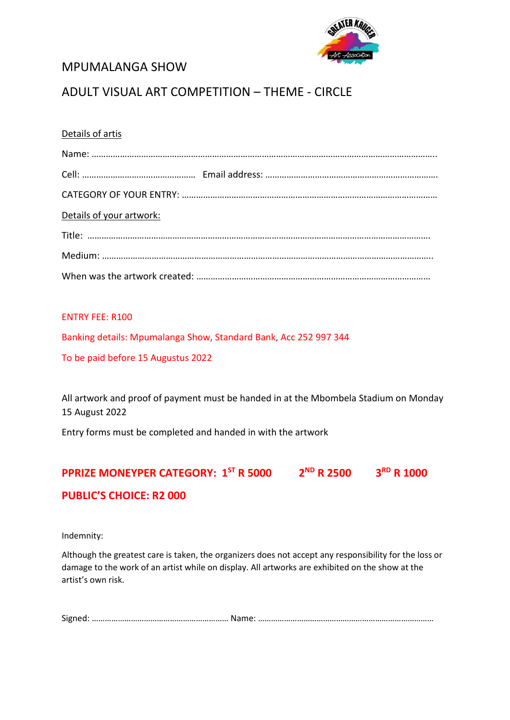

## MPUMALANGA SHOW

## ADULT VISUAL ART COMPETITION – THEME - CIRCLE

### Details of artis

| Details of your artwork: |  |
|--------------------------|--|
|                          |  |
|                          |  |
|                          |  |

### ENTRY FEE: R100

Banking details: Mpumalanga Show, Standard Bank, Acc 252 997 344

To be paid before 15 Augustus 2022

All artwork and proof of payment must be handed in at the Mbombela Stadium on Monday 15 August 2022

Entry forms must be completed and handed in with the artwork

# **PPRIZE MONEYPER CATEGORY: 1 ST R 5000 2 ND R 2500 3RD R 1000**

## **PUBLIC'S CHOICE: R2 000**

Indemnity:

Although the greatest care is taken, the organizers does not accept any responsibility for the loss or damage to the work of an artist while on display. All artworks are exhibited on the show at the artist's own risk.

Signed: ……………………………………………………… Name: ………………………………………………………………………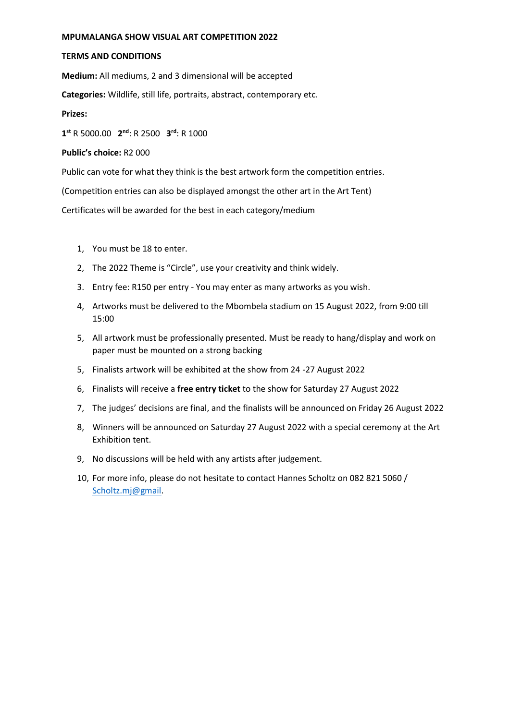#### **MPUMALANGA SHOW VISUAL ART COMPETITION 2022**

#### **TERMS AND CONDITIONS**

**Medium:** All mediums, 2 and 3 dimensional will be accepted

**Categories:** Wildlife, still life, portraits, abstract, contemporary etc.

#### **Prizes:**

**1 st** R 5000.00 **2 nd**: R 2500 **3 rd**: R 1000

#### **Public's choice:** R2 000

Public can vote for what they think is the best artwork form the competition entries.

(Competition entries can also be displayed amongst the other art in the Art Tent)

Certificates will be awarded for the best in each category/medium

- 1, You must be 18 to enter.
- 2, The 2022 Theme is "Circle", use your creativity and think widely.
- 3. Entry fee: R150 per entry You may enter as many artworks as you wish.
- 4, Artworks must be delivered to the Mbombela stadium on 15 August 2022, from 9:00 till 15:00
- 5, All artwork must be professionally presented. Must be ready to hang/display and work on paper must be mounted on a strong backing
- 5, Finalists artwork will be exhibited at the show from 24 -27 August 2022
- 6, Finalists will receive a **free entry ticket** to the show for Saturday 27 August 2022
- 7, The judges' decisions are final, and the finalists will be announced on Friday 26 August 2022
- 8, Winners will be announced on Saturday 27 August 2022 with a special ceremony at the Art Exhibition tent.
- 9, No discussions will be held with any artists after judgement.
- 10, For more info, please do not hesitate to contact Hannes Scholtz on 082 821 5060 / [Scholtz.mj@gmail.](mailto:Scholtz.mj@gmail)